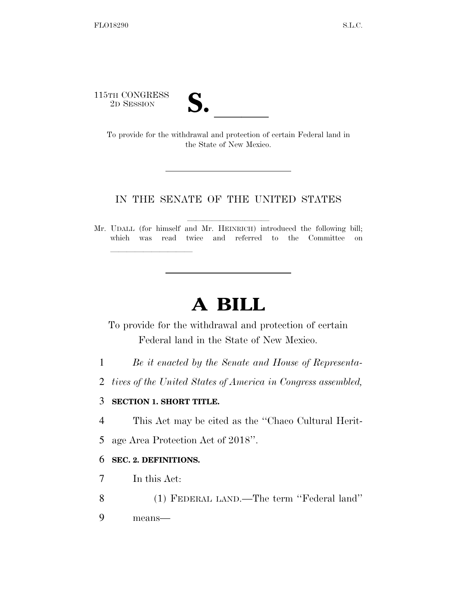115TH CONGRESS



TH CONGRESS<br>
2D SESSION<br>
To provide for the withdrawal and protection of certain Federal land in the State of New Mexico.

## IN THE SENATE OF THE UNITED STATES

Mr. UDALL (for himself and Mr. HEINRICH) introduced the following bill; which was read twice and referred to the Committee on

## **A BILL**

To provide for the withdrawal and protection of certain Federal land in the State of New Mexico.

- 1 *Be it enacted by the Senate and House of Representa-*
- 2 *tives of the United States of America in Congress assembled,*

## 3 **SECTION 1. SHORT TITLE.**

lle and a second control of the second control of the second control of the second control of the second control of the second control of the second control of the second control of the second control of the second control

- 4 This Act may be cited as the ''Chaco Cultural Herit-
- 5 age Area Protection Act of 2018''.

## 6 **SEC. 2. DEFINITIONS.**

- 7 In this Act:
- 8 (1) FEDERAL LAND.—The term ''Federal land''
- 9 means—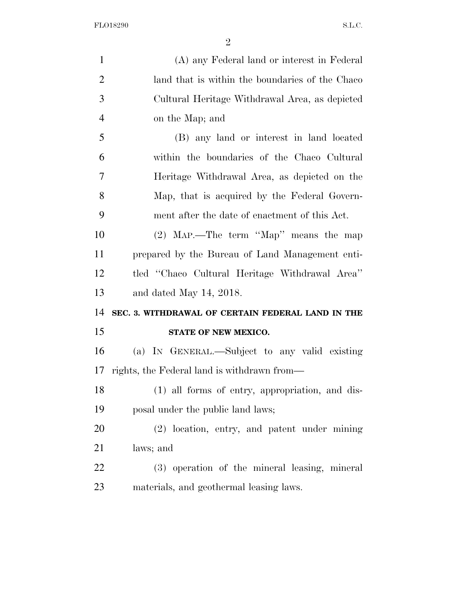FLO18290 S.L.C.

| $\mathbf{1}$   | (A) any Federal land or interest in Federal       |
|----------------|---------------------------------------------------|
| $\overline{2}$ | land that is within the boundaries of the Chaco   |
| 3              | Cultural Heritage Withdrawal Area, as depicted    |
| $\overline{4}$ | on the Map; and                                   |
| 5              | (B) any land or interest in land located          |
| 6              | within the boundaries of the Chaco Cultural       |
| 7              | Heritage Withdrawal Area, as depicted on the      |
| 8              | Map, that is acquired by the Federal Govern-      |
| 9              | ment after the date of enactment of this Act.     |
| 10             | $(2)$ MAP.—The term "Map" means the map           |
| 11             | prepared by the Bureau of Land Management enti-   |
| 12             | tled "Chaco Cultural Heritage Withdrawal Area"    |
| 13             | and dated May 14, 2018.                           |
| 14             | SEC. 3. WITHDRAWAL OF CERTAIN FEDERAL LAND IN THE |
| 15             | STATE OF NEW MEXICO.                              |
| 16             | (a) IN GENERAL.—Subject to any valid existing     |
| 17             | rights, the Federal land is withdrawn from—       |
| 18             | (1) all forms of entry, appropriation, and dis-   |
| 19             | posal under the public land laws;                 |
| 20             | (2) location, entry, and patent under mining      |
| 21             | laws; and                                         |
| 22             | (3) operation of the mineral leasing, mineral     |
| 23             | materials, and geothermal leasing laws.           |